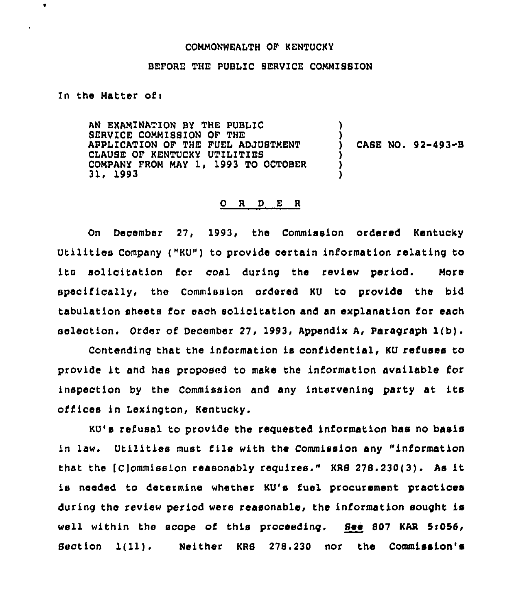## COMMONWEALTH OF KENTUCKY

## BEFORE THE PUBLIC BERVICE COMMISSION

In the Matter ofi

 $\bullet$ 

AN EXAMINATION BY THE PUBLIC BERVICE COMMISSION OF THE APPLICATION OF THE FUEL ADJUSTMENT CLAUSE OF KENTUCKY UTILITIES COMPANY FROM MAY 1, 1993 TO OCTOBER 31, 1993 ) ) ) CASE NO. 92-493~8 ) ) )

## 0 <sup>R</sup> <sup>D</sup> E <sup>R</sup>

On December 27, 1993, the Commission ordered Kentucky Utilities Company ("KU") to provide certain information relating to its solicitation for coal during the review period. More specifically, the Commission ordered KU to provide the bid tabulation sheets for each solicitation and an explanation for each selection. Order of December 27, 1993, Appendix A, Paragraph 1(b).

Contending that the information is confidential, KU refuses to provide it and has proposed to make the information available for inspection by the Commission and any intervening party at its offices in Lexington, Kentucky.

KU's refusal to provide the requested information has no basis in law. Utilities must file with the Commission any "information that the (C)ommission reasonably requires." KRS 278.230(3). As it is needed to determine whether KU's fuel procurement practices during the review period were reasonable, the information sought is well within the scope of this proceeding. See 807 KAR 5s056, Section 1(11). Neither KRS 278.230 nor the Commission's